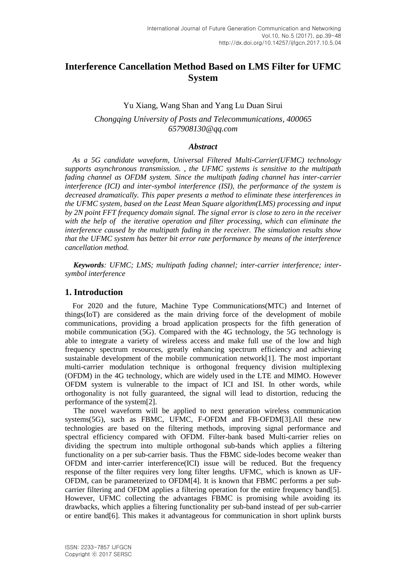# **Interference Cancellation Method Based on LMS Filter for UFMC System**

# Yu Xiang, Wang Shan and Yang Lu Duan Sirui

*Chongqing University of Posts and Telecommunications, 400065 657908130@qq.com*

#### *Abstract*

*As a 5G candidate waveform, Universal Filtered Multi-Carrier(UFMC) technology supports asynchronous transmission. , the UFMC systems is sensitive to the multipath fading channel as OFDM system. Since the multipath fading channel has inter-carrier interference (ICI) and inter-symbol interference (ISI), the performance of the system is decreased dramatically. This paper presents a method to eliminate these interferences in the UFMC system, based on the Least Mean Square algorithm(LMS) processing and input by 2N point FFT frequency domain signal. The signal error is close to zero in the receiver with the help of the iterative operation and filter processing, which can eliminate the interference caused by the multipath fading in the receiver. The simulation results show that the UFMC system has better bit error rate performance by means of the interference cancellation method.*

*Keywords: UFMC; LMS; multipath fading channel; inter-carrier interference; intersymbol interference*

#### **1. Introduction**

For 2020 and the future, Machine Type Communications(MTC) and Internet of things(IoT) are considered as the main driving force of the development of mobile communications, providing a broad application prospects for the fifth generation of mobile communication (5G). Compared with the 4G technology, the 5G technology is able to integrate a variety of wireless access and make full use of the low and high frequency spectrum resources, greatly enhancing spectrum efficiency and achieving sustainable development of the mobile communication network[1]. The most important multi-carrier modulation technique is orthogonal frequency division multiplexing (OFDM) in the 4G technology, which are widely used in the LTE and MIMO. However OFDM system is vulnerable to the impact of ICI and ISI. In other words, while orthogonality is not fully guaranteed, the signal will lead to distortion, reducing the performance of the system[2].

The novel waveform will be applied to next generation wireless communication systems(5G), such as FBMC, UFMC, F-OFDM and FB-OFDM[3].All these new technologies are based on the filtering methods, improving signal performance and spectral efficiency compared with OFDM. Filter-bank based Multi-carrier relies on dividing the spectrum into multiple orthogonal sub-bands which applies a filtering functionality on a per sub-carrier basis. Thus the FBMC side-lodes become weaker than OFDM and inter-carrier interference(ICI) issue will be reduced. But the frequency response of the filter requires very long filter lengths. UFMC, which is known as UF-OFDM, can be parameterized to OFDM[4]. It is known that FBMC performs a per subcarrier filtering and OFDM applies a filtering operation for the entire frequency band[5]. However, UFMC collecting the advantages FBMC is promising while avoiding its drawbacks, which applies a filtering functionality per sub-band instead of per sub-carrier or entire band[6]. This makes it advantageous for communication in short uplink bursts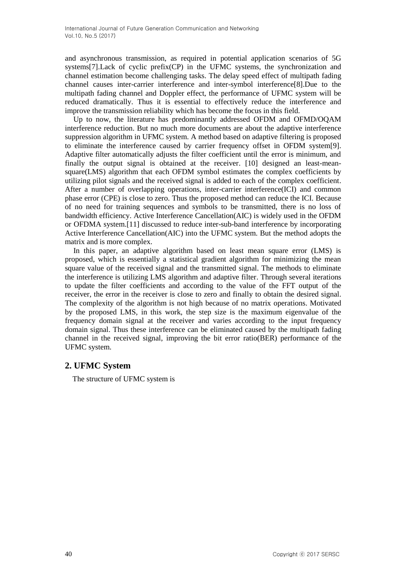and asynchronous transmission, as required in potential application scenarios of 5G systems[7].Lack of cyclic prefix(CP) in the UFMC systems, the synchronization and channel estimation become challenging tasks. The delay speed effect of multipath fading channel causes inter-carrier interference and inter-symbol interference[8].Due to the multipath fading channel and Doppler effect, the performance of UFMC system will be reduced dramatically. Thus it is essential to effectively reduce the interference and improve the transmission reliability which has become the focus in this field.

Up to now, the literature has predominantly addressed OFDM and OFMD/OQAM interference reduction. But no much more documents are about the adaptive interference suppression algorithm in UFMC system. A method based on adaptive filtering is proposed to eliminate the interference caused by carrier frequency offset in OFDM system[9]. Adaptive filter automatically adjusts the filter coefficient until the error is minimum, and finally the output signal is obtained at the receiver. [10] designed an least-meansquare(LMS) algorithm that each OFDM symbol estimates the complex coefficients by utilizing pilot signals and the received signal is added to each of the complex coefficient. After a number of overlapping operations, inter-carrier interference(ICI) and common phase error (CPE) is close to zero. Thus the proposed method can reduce the ICI. Because of no need for training sequences and symbols to be transmitted, there is no loss of bandwidth efficiency. Active Interference Cancellation(AIC) is widely used in the OFDM or OFDMA system.[11] discussed to reduce inter-sub-band interference by incorporating Active Interference Cancellation(AIC) into the UFMC system. But the method adopts the matrix and is more complex.

In this paper, an adaptive algorithm based on least mean square error (LMS) is proposed, which is essentially a statistical gradient algorithm for minimizing the mean square value of the received signal and the transmitted signal. The methods to eliminate the interference is utilizing LMS algorithm and adaptive filter. Through several iterations to update the filter coefficients and according to the value of the FFT output of the receiver, the error in the receiver is close to zero and finally to obtain the desired signal. The complexity of the algorithm is not high because of no matrix operations. Motivated by the proposed LMS, in this work, the step size is the maximum eigenvalue of the frequency domain signal at the receiver and varies according to the input frequency domain signal. Thus these interference can be eliminated caused by the multipath fading channel in the received signal, improving the bit error ratio(BER) performance of the UFMC system.

# **2. UFMC System**

The structure of UFMC system is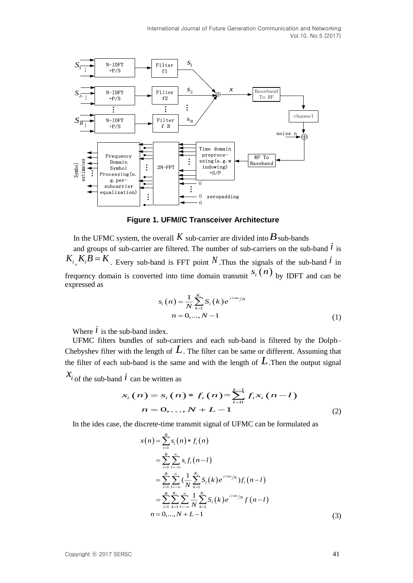

**Figure 1. UFM//C Transceiver Architecture**

In the UFMC system, the overall  $K$  sub-carrier are divided into  $B$  sub-bands and groups of sub-carrier are filtered. The number of sub-carriers on the sub-band  $\dot{l}$  is  $K_i$ ,  $K_i B = K$ . Every sub-band is FFT point N. Thus the signals of the sub-band  $i$  in frequency domain is converted into time domain transmit  $s_i(n)$  by IDFT and can be expressed as

$$
s_i(n) = \frac{1}{N} \sum_{k=1}^{K_i} S_i(k) e^{j2\pi kn/N}
$$
  
n = 0, ..., N - 1 (1)

Where  $\dot{l}$  is the sub-band index.

UFMC filters bundles of sub-carriers and each sub-band is filtered by the Dolph– Chebyshev filter with the length of *L*. The filter can be same or different. Assuming that

the filter of each sub-band is the same and with the length of 
$$
L
$$
. Then the output signal  $X_i$  of the sub-band  $i$  can be written as\n
$$
x_i(n) = s_i(n) * f_i(n) = \sum_{i=0}^{L-1} f_i x_i(n - i)
$$
\n
$$
n = 0, \ldots, N + L - 1
$$
\n(2)

In the ides case, the discrete-time transmit signal of UFMC can be formulated as

$$
x(n) = \sum_{i=1}^{B} s_i(n) * f_i(n)
$$
  
\n
$$
= \sum_{i=1}^{B} \sum_{l=-\infty}^{\infty} s_i f_i(n-l)
$$
  
\n
$$
= \sum_{i=1}^{B} \sum_{l=-\infty}^{\infty} (\frac{1}{N} \sum_{k=1}^{K_i} S_i(k) e^{j2\pi kn/N}) f_i(n-l)
$$
  
\n
$$
= \sum_{i=1}^{B} \sum_{k=1}^{K_i} \sum_{l=-\infty}^{\infty} \frac{1}{N} \sum_{k=1}^{K_i} S_i(k) e^{j2\pi kn/N} f(n-l)
$$
  
\n
$$
n = 0,..., N + L - 1
$$
\n(3)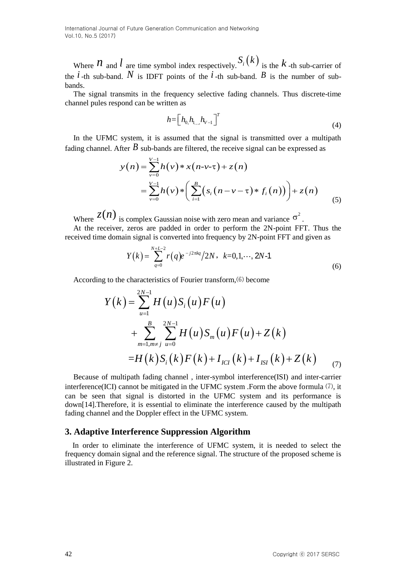Where  $\hat{\mathcal{U}}$  and  $\hat{l}$  are time symbol index respectively.  $S_i(k)$  is the  $k$ -th sub-carrier of the  $i$ -th sub-band.  $N$  is IDFT points of the  $i$ -th sub-band.  $B$  is the number of subbands.

The signal transmits in the frequency selective fading channels. Thus discrete-time channel pules respond can be written as

$$
h = \left[ h_{0,1}, h_{1,2}, h_{V-1} \right]^T \tag{4}
$$

In the UFMC system, it is assumed that the signal is transmitted over a multipath fading channel. After  $B$  sub-bands are filtered, the receive signal can be expressed as

$$
y(n) = \sum_{\nu=0}^{V-1} h(\nu) * x(n-\nu-\tau) + z(n)
$$
  
= 
$$
\sum_{\nu=0}^{V-1} h(\nu) * \left( \sum_{i=1}^{B} (s_i(n-\nu-\tau) * f_i(n)) \right) + z(n)
$$
 (5)

Where  $z(n)$  is complex Gaussian noise with zero mean and variance  $\sigma^2$ . At the receiver, zeros are padded in order to perform the 2N-point FFT. Thus the

received time domain signal is converted into frequency by 2N-point FFT and given as

zeros are padded in order to perform the 2N-point FFT. Thus the  
in signal is converted into frequency by 2N-point FFT and given as  

$$
Y(k) = \sum_{q=0}^{N+L-2} r(q)e^{-j2\pi kq}/2N, k=0,1,\dots, 2N-1
$$
 (6)

According to the characteristics of Fourier transform, $(6)$  become

$$
Y(k) = \sum_{u=1}^{2N-1} H(u) S_i(u) F(u)
$$
  
+ 
$$
\sum_{m=1,m\neq j}^{B} \sum_{u=0}^{2N-1} H(u) S_m(u) F(u) + Z(k)
$$
  
= 
$$
H(k) S_i(k) F(k) + I_{ICI}(k) + I_{ISI}(k) + Z(k)
$$
 (7)

Because of multipath fading channel , inter-symbol interference(ISI) and inter-carrier interference(ICI) cannot be mitigated in the UFMC system .Form the above formula ⑺, it can be seen that signal is distorted in the UFMC system and its performance is down[14].Therefore, it is essential to eliminate the interference caused by the multipath fading channel and the Doppler effect in the UFMC system.

# **3. Adaptive Interference Suppression Algorithm**

In order to eliminate the interference of UFMC system, it is needed to select the frequency domain signal and the reference signal. The structure of the proposed scheme is illustrated in Figure 2.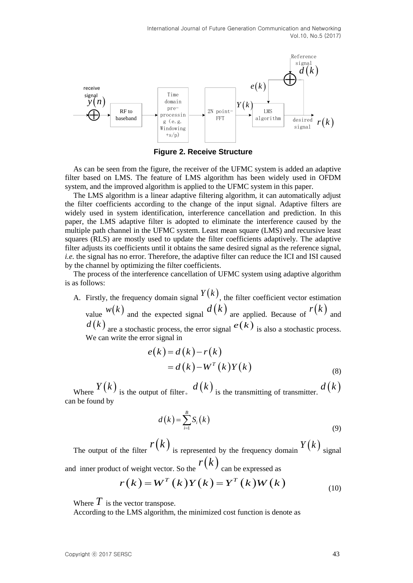

**Figure 2. Receive Structure**

As can be seen from the figure, the receiver of the UFMC system is added an adaptive filter based on LMS. The feature of LMS algorithm has been widely used in OFDM system, and the improved algorithm is applied to the UFMC system in this paper.

**Copyright Control is a set of the properties of the species of**  $\mathbf{F}(\mathbf{k})$  **and the species of the control of the species of the COV**  $\mathbf{F}(\mathbf{k})$  **and**  $\mathbf{F}(\mathbf{k})$  **and the properties**  $\mathbf{F}(\mathbf{k}) = \sum_{i=1}^{n} f_i(\mathbf{k})$ **. Th** The LMS algorithm is a linear adaptive filtering algorithm, it can automatically adjust the filter coefficients according to the change of the input signal. Adaptive filters are widely used in system identification, interference cancellation and prediction. In this paper, the LMS adaptive filter is adopted to eliminate the interference caused by the multiple path channel in the UFMC system. Least mean square (LMS) and recursive least squares (RLS) are mostly used to update the filter coefficients adaptively. The adaptive filter adjusts its coefficients until it obtains the same desired signal as the reference signal, *i.e.* the signal has no error. Therefore, the adaptive filter can reduce the ICI and ISI caused by the channel by optimizing the filter coefficients.

The process of the interference cancellation of UFMC system using adaptive algorithm is as follows:

A. Firstly, the frequency domain signal  $Y(k)$ , the filter coefficient vector estimation value  $w(k)$  and the expected signal  $d(k)$  are applied. Because of  $r(k)$  and  $d(k)$  are a stochastic process, the error signal  $e(k)$  is also a stochastic process. We can write the error signal in

$$
e(k) = d(k) - r(k)
$$
  
= d(k) - W<sup>T</sup>(k)Y(k) (8)

Where  $Y(k)$  is the output of filter,  $d(k)$  is the transmitting of transmitter.  $d(k)$ can be found by

$$
d(k) = \sum_{i=1}^{B} S_i(k)
$$
\n(9)

The output of the filter  $r(k)$  is represented by the frequency domain  $Y(k)$  signal and inner product of weight vector. So the  $r(k)$  can be expressed as

$$
r(k) = WT(k)Y(k) = YT(k)W(k)
$$
\n(10)

Where  $\overline{T}$  is the vector transpose.

According to the LMS algorithm, the minimized cost function is denote as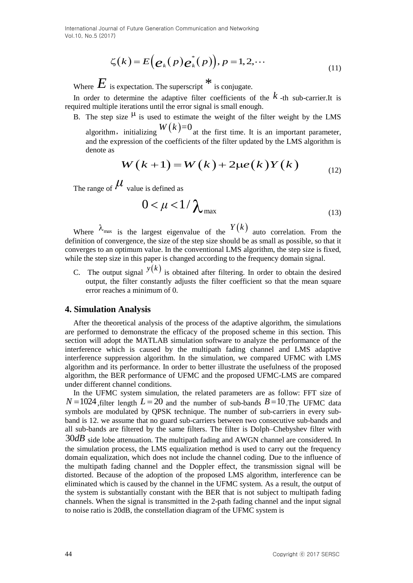$$
\zeta(k) = E\Big(\mathbf{e}_k(p)\mathbf{e}_k^*(p)\Big), p = 1, 2, \cdots
$$
\n(11)

Where  $E$  is expectation. The superscript  $*$  is conjugate. In order to determine the adaptive filter coefficients of the  $k$ -th sub-carrier.It is required multiple iterations until the error signal is small enough.

- B. The step size  $\mu$  is used to estimate the weight of the filter weight by the LMS algorithm, initializing  $W(k)=0$  at the first time. It is an important parameter,
	- and the expression of the coefficients of the filter updated by the LMS algorithm is denote as

$$
W(k+1) = W(k) + 2\mu e(k)Y(k) \qquad (12)
$$

The range of  $\mu$  value is defined as

$$
0 < \mu < 1/\lambda_{\text{max}} \tag{13}
$$

Where  $\lambda_{\text{max}}$  is the largest eigenvalue of the  $Y(k)$  auto correlation. From the definition of convergence, the size of the step size should be as small as possible, so that it converges to an optimum value. In the conventional LMS algorithm, the step size is fixed, while the step size in this paper is changed according to the frequency domain signal.

C. The output signal  $y(k)$  is obtained after filtering. In order to obtain the desired output, the filter constantly adjusts the filter coefficient so that the mean square error reaches a minimum of 0.

#### **4. Simulation Analysis**

After the theoretical analysis of the process of the adaptive algorithm, the simulations are performed to demonstrate the efficacy of the proposed scheme in this section. This section will adopt the MATLAB simulation software to analyze the performance of the interference which is caused by the multipath fading channel and LMS adaptive interference suppression algorithm. In the simulation, we compared UFMC with LMS algorithm and its performance. In order to better illustrate the usefulness of the proposed algorithm, the BER performance of UFMC and the proposed UFMC-LMS are compared under different channel conditions.

 $\zeta(k) = E^{\epsilon}(e_k(p)e_k^{\dagger}(p))$ ,  $p = 1, 2, \cdots$ <br>
(1)<br>
Where  $\overline{E}$  is expectation. The superceript<sup>38</sup> is conjugate.<br>
In order to determine the adiplot filter to redifficient of the  $k$ -th sub-critic lay<br>
nequired analytic eig In the UFMC system simulation, the related parameters are as follow: FFT size of  $N = 1024$ , filter length  $L = 20$  and the number of sub-bands  $B = 10$ . The UFMC data symbols are modulated by QPSK technique. The number of sub-carriers in every subband is 12. we assume that no guard sub-carriers between two consecutive sub-bands and all sub-bands are filtered by the same filters. The filter is Dolph–Chebyshev filter with 30*dB* side lobe attenuation. The multipath fading and AWGN channel are considered. In the simulation process, the LMS equalization method is used to carry out the frequency domain equalization, which does not include the channel coding. Due to the influence of the multipath fading channel and the Doppler effect, the transmission signal will be distorted. Because of the adoption of the proposed LMS algorithm, interference can be eliminated which is caused by the channel in the UFMC system. As a result, the output of the system is substantially constant with the BER that is not subject to multipath fading channels. When the signal is transmitted in the 2-path fading channel and the input signal to noise ratio is 20dB, the constellation diagram of the UFMC system is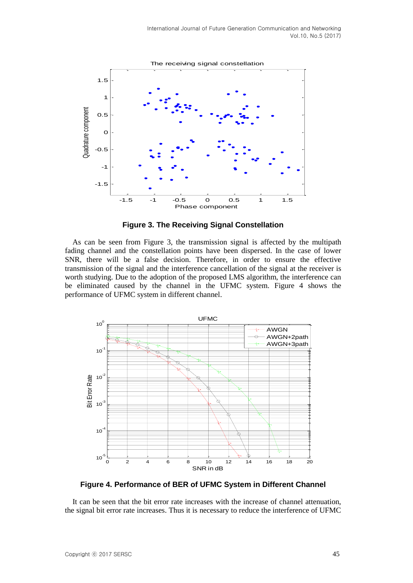

**Figure 3. The Receiving Signal Constellation**

As can be seen from Figure 3, the transmission signal is affected by the multipath fading channel and the constellation points have been dispersed. In the case of lower SNR, there will be a false decision. Therefore, in order to ensure the effective transmission of the signal and the interference cancellation of the signal at the receiver is worth studying. Due to the adoption of the proposed LMS algorithm, the interference can be eliminated caused by the channel in the UFMC system. Figure 4 shows the performance of UFMC system in different channel.



**Figure 4. Performance of BER of UFMC System in Different Channel**

It can be seen that the bit error rate increases with the increase of channel attenuation, the signal bit error rate increases. Thus it is necessary to reduce the interference of UFMC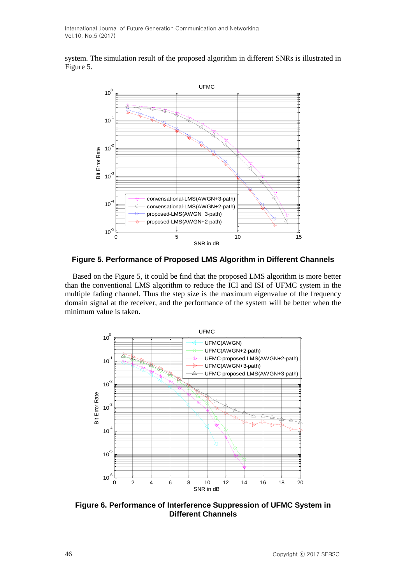system. The simulation result of the proposed algorithm in different SNRs is illustrated in Figure 5.



**Figure 5. Performance of Proposed LMS Algorithm in Different Channels**

Based on the Figure 5, it could be find that the proposed LMS algorithm is more better than the conventional LMS algorithm to reduce the ICI and ISI of UFMC system in the multiple fading channel. Thus the step size is the maximum eigenvalue of the frequency domain signal at the receiver, and the performance of the system will be better when the minimum value is taken.



**Figure 6. Performance of Interference Suppression of UFMC System in Different Channels**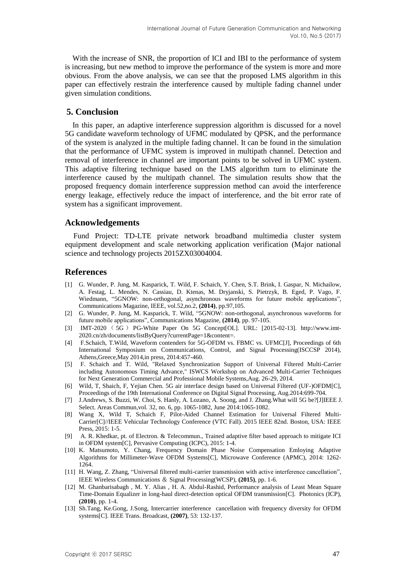With the increase of SNR, the proportion of ICI and IBI to the performance of system is increasing, but new method to improve the performance of the system is more and more obvious. From the above analysis, we can see that the proposed LMS algorithm in this paper can effectively restrain the interference caused by multiple fading channel under given simulation conditions.

## **5. Conclusion**

In this paper, an adaptive interference suppression algorithm is discussed for a novel 5G candidate waveform technology of UFMC modulated by QPSK, and the performance of the system is analyzed in the multiple fading channel. It can be found in the simulation that the performance of UFMC system is improved in multipath channel. Detection and removal of interference in channel are important points to be solved in UFMC system. This adaptive filtering technique based on the LMS algorithm turn to eliminate the interference caused by the multipath channel. The simulation results show that the proposed frequency domain interference suppression method can avoid the interference energy leakage, effectively reduce the impact of interference, and the bit error rate of system has a significant improvement.

#### **Acknowledgements**

Fund Project: TD-LTE private network broadband multimedia cluster system equipment development and scale networking application verification (Major national science and technology projects 2015ZX03004004.

# **References**

- [1] G. Wunder, P. Jung, M. Kasparick, T. Wild, F. Schaich, Y. Chen, S.T. Brink, I. Gaspar, N. Michailow, A. Festag, L. Mendes, N. Cassiau, D. Ktenas, M. Dryjanski, S. Pietrzyk, B. Eged, P. Vago, F. Wiedmann, "5GNOW: non-orthogonal, asynchronous waveforms for future mobile applications", Communications Magazine, IEEE, vol.52,no.2, **(2014)**, pp.97,105.
- [2] G. Wunder, P. Jung, M. Kasparick, T. Wild, "5GNOW: non-orthogonal, asynchronous waveforms for future mobile applications", Communications Magazine, **(2014)**, pp. 97-105.
- [3] IMT-2020 ( 5G ) PG-White Paper On 5G Concept[OL]. URL: [2015-02-13]. http://www.imt-2020.cn/zh/documents/listByQuery?currentPage=1&content=.
- [4] F.Schaich, T.Wild, Waveform contenders for 5G-OFDM vs. FBMC vs. UFMC[J], Proceedings of 6th International Symposium on Communications, Control, and Signal Processing(ISCCSP 2014), Athens,Greece,May 2014,in press, 2014:457-460.
- [5] F. Schaich and T. Wild, "Relaxed Synchronization Support of Universal Filtered Multi-Carrier including Autonomous Timing Advance," ISWCS Workshop on Advanced Multi-Carrier Techniques for Next Generation Commercial and Professional Mobile Systems,Aug. 26-29, 2014.
- [6] Wild, T, Shaich, F, Yejian Chen. 5G air interface design based on Universal Filtered (UF-)OFDM[C], Proceedings of the 19th International Conference on Digital Signal Processing, Aug.2014:699-704.
- [7] J.Andrews, S. Buzzi, W. Choi, S. Hanly, A. Lozano, A. Soong, and J. Zhang.What will 5G be?[J]IEEE J. Select. Areas Commun,vol. 32, no. 6, pp. 1065-1082, June 2014:1065-1082.
- [8] Wang X, Wild T, Schaich F, Pilot-Aided Channel Estimation for Universal Filtered Multi-Carrier[C]//IEEE Vehicular Technology Conference (VTC Fall). 2015 IEEE 82nd. Boston, USA: IEEE Press, 2015: 1-5.
- [9] A. R. Khedkar, pt. of Electron. & Telecommun., Trained adaptive filter based approach to mitigate ICI in OFDM system[C], Pervasive Computing (ICPC), 2015: 1-4.
- [10] K. Matsumoto, Y. Chang, Frequency Domain Phase Noise Compensation Emloying Adaptive Algorithms for Millimeter-Wave OFDM Systems[C], Microwave Conference (APMC), 2014: 1262- 1264.
- [11] H. Wang, Z. Zhang, "Universal filtered multi-carrier transmission with active interference cancellation", IEEE Wireless Communications & Signal Processing(WCSP), **(2015)**, pp. 1-6.
- [12] M. Ghanbarisabagh , M. Y. Alias , H. A. Abdul-Rashid, Performance analysis of Least Mean Square Time-Domain Equalizer in long-haul direct-detection optical OFDM transmission[C]. Photonics (ICP), **(2010)**, pp. 1-4.
- [13] Sh.Tang, Ke.Gong, J.Song, Intercarrier interference cancellation with frequency diversity for OFDM systems[C]. IEEE Trans. Broadcast, **(2007)**, 53: 132-137.